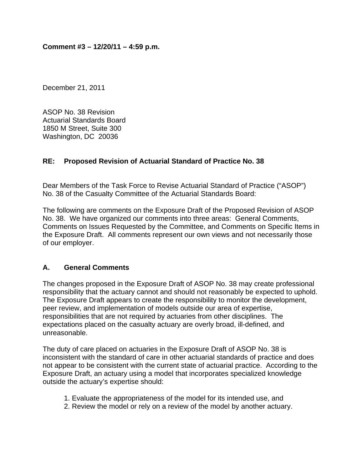December 21, 2011

ASOP No. 38 Revision Actuarial Standards Board 1850 M Street, Suite 300 Washington, DC 20036

# **RE: Proposed Revision of Actuarial Standard of Practice No. 38**

Dear Members of the Task Force to Revise Actuarial Standard of Practice ("ASOP") No. 38 of the Casualty Committee of the Actuarial Standards Board:

The following are comments on the Exposure Draft of the Proposed Revision of ASOP No. 38. We have organized our comments into three areas: General Comments, Comments on Issues Requested by the Committee, and Comments on Specific Items in the Exposure Draft. All comments represent our own views and not necessarily those of our employer.

## **A. General Comments**

The changes proposed in the Exposure Draft of ASOP No. 38 may create professional responsibility that the actuary cannot and should not reasonably be expected to uphold. The Exposure Draft appears to create the responsibility to monitor the development, peer review, and implementation of models outside our area of expertise, responsibilities that are not required by actuaries from other disciplines. The expectations placed on the casualty actuary are overly broad, ill-defined, and unreasonable.

The duty of care placed on actuaries in the Exposure Draft of ASOP No. 38 is inconsistent with the standard of care in other actuarial standards of practice and does not appear to be consistent with the current state of actuarial practice. According to the Exposure Draft, an actuary using a model that incorporates specialized knowledge outside the actuary's expertise should:

- 1. Evaluate the appropriateness of the model for its intended use, and
- 2. Review the model or rely on a review of the model by another actuary.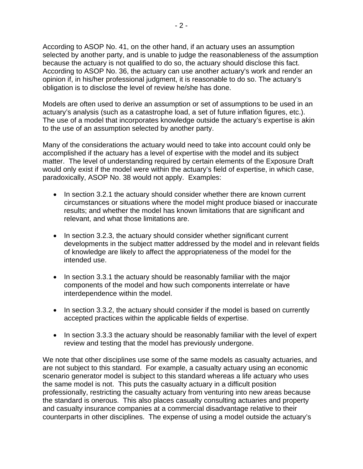According to ASOP No. 41, on the other hand, if an actuary uses an assumption selected by another party, and is unable to judge the reasonableness of the assumption because the actuary is not qualified to do so, the actuary should disclose this fact. According to ASOP No. 36, the actuary can use another actuary's work and render an opinion if, in his/her professional judgment, it is reasonable to do so. The actuary's obligation is to disclose the level of review he/she has done.

Models are often used to derive an assumption or set of assumptions to be used in an actuary's analysis (such as a catastrophe load, a set of future inflation figures, etc.). The use of a model that incorporates knowledge outside the actuary's expertise is akin to the use of an assumption selected by another party.

Many of the considerations the actuary would need to take into account could only be accomplished if the actuary has a level of expertise with the model and its subject matter. The level of understanding required by certain elements of the Exposure Draft would only exist if the model were within the actuary's field of expertise, in which case, paradoxically, ASOP No. 38 would not apply. Examples:

- In section 3.2.1 the actuary should consider whether there are known current circumstances or situations where the model might produce biased or inaccurate results; and whether the model has known limitations that are significant and relevant, and what those limitations are.
- In section 3.2.3, the actuary should consider whether significant current developments in the subject matter addressed by the model and in relevant fields of knowledge are likely to affect the appropriateness of the model for the intended use.
- In section 3.3.1 the actuary should be reasonably familiar with the major components of the model and how such components interrelate or have interdependence within the model.
- In section 3.3.2, the actuary should consider if the model is based on currently accepted practices within the applicable fields of expertise.
- In section 3.3.3 the actuary should be reasonably familiar with the level of expert review and testing that the model has previously undergone.

We note that other disciplines use some of the same models as casualty actuaries, and are not subject to this standard. For example, a casualty actuary using an economic scenario generator model is subject to this standard whereas a life actuary who uses the same model is not. This puts the casualty actuary in a difficult position professionally, restricting the casualty actuary from venturing into new areas because the standard is onerous. This also places casualty consulting actuaries and property and casualty insurance companies at a commercial disadvantage relative to their counterparts in other disciplines. The expense of using a model outside the actuary's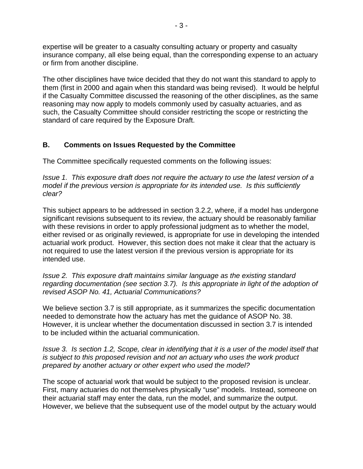expertise will be greater to a casualty consulting actuary or property and casualty insurance company, all else being equal, than the corresponding expense to an actuary or firm from another discipline.

The other disciplines have twice decided that they do not want this standard to apply to them (first in 2000 and again when this standard was being revised). It would be helpful if the Casualty Committee discussed the reasoning of the other disciplines, as the same reasoning may now apply to models commonly used by casualty actuaries, and as such, the Casualty Committee should consider restricting the scope or restricting the standard of care required by the Exposure Draft.

# **B. Comments on Issues Requested by the Committee**

The Committee specifically requested comments on the following issues:

*Issue 1. This exposure draft does not require the actuary to use the latest version of a model if the previous version is appropriate for its intended use. Is this sufficiently clear?* 

This subject appears to be addressed in section 3.2.2, where, if a model has undergone significant revisions subsequent to its review, the actuary should be reasonably familiar with these revisions in order to apply professional judgment as to whether the model, either revised or as originally reviewed, is appropriate for use in developing the intended actuarial work product. However, this section does not make it clear that the actuary is not required to use the latest version if the previous version is appropriate for its intended use.

### *Issue 2. This exposure draft maintains similar language as the existing standard regarding documentation (see section 3.7). Is this appropriate in light of the adoption of revised ASOP No. 41, Actuarial Communications?*

We believe section 3.7 is still appropriate, as it summarizes the specific documentation needed to demonstrate how the actuary has met the guidance of ASOP No. 38. However, it is unclear whether the documentation discussed in section 3.7 is intended to be included within the actuarial communication.

### *Issue 3. Is section 1.2, Scope, clear in identifying that it is a user of the model itself that is subject to this proposed revision and not an actuary who uses the work product prepared by another actuary or other expert who used the model?*

The scope of actuarial work that would be subject to the proposed revision is unclear. First, many actuaries do not themselves physically "use" models. Instead, someone on their actuarial staff may enter the data, run the model, and summarize the output. However, we believe that the subsequent use of the model output by the actuary would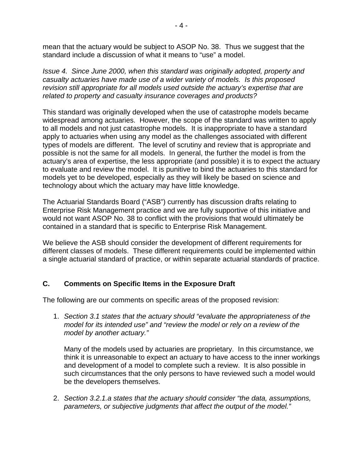mean that the actuary would be subject to ASOP No. 38. Thus we suggest that the standard include a discussion of what it means to "use" a model.

*Issue 4. Since June 2000, when this standard was originally adopted, property and casualty actuaries have made use of a wider variety of models. Is this proposed revision still appropriate for all models used outside the actuary's expertise that are related to property and casualty insurance coverages and products?* 

This standard was originally developed when the use of catastrophe models became widespread among actuaries. However, the scope of the standard was written to apply to all models and not just catastrophe models. It is inappropriate to have a standard apply to actuaries when using any model as the challenges associated with different types of models are different. The level of scrutiny and review that is appropriate and possible is not the same for all models. In general, the further the model is from the actuary's area of expertise, the less appropriate (and possible) it is to expect the actuary to evaluate and review the model. It is punitive to bind the actuaries to this standard for models yet to be developed, especially as they will likely be based on science and technology about which the actuary may have little knowledge.

The Actuarial Standards Board ("ASB") currently has discussion drafts relating to Enterprise Risk Management practice and we are fully supportive of this initiative and would not want ASOP No. 38 to conflict with the provisions that would ultimately be contained in a standard that is specific to Enterprise Risk Management.

We believe the ASB should consider the development of different requirements for different classes of models. These different requirements could be implemented within a single actuarial standard of practice, or within separate actuarial standards of practice.

## **C. Comments on Specific Items in the Exposure Draft**

The following are our comments on specific areas of the proposed revision:

1. *Section 3.1 states that the actuary should "evaluate the appropriateness of the model for its intended use" and "review the model or rely on a review of the model by another actuary."* 

Many of the models used by actuaries are proprietary. In this circumstance, we think it is unreasonable to expect an actuary to have access to the inner workings and development of a model to complete such a review. It is also possible in such circumstances that the only persons to have reviewed such a model would be the developers themselves.

2. *Section 3.2.1.a states that the actuary should consider "the data, assumptions, parameters, or subjective judgments that affect the output of the model."*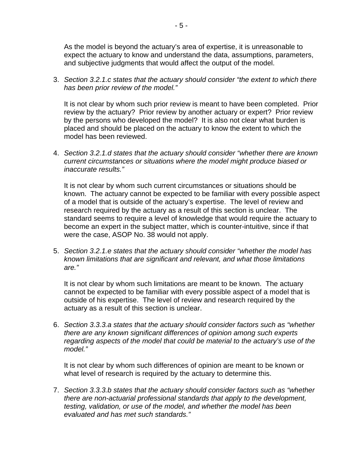As the model is beyond the actuary's area of expertise, it is unreasonable to expect the actuary to know and understand the data, assumptions, parameters, and subjective judgments that would affect the output of the model.

3. *Section 3.2.1.c states that the actuary should consider "the extent to which there has been prior review of the model."* 

It is not clear by whom such prior review is meant to have been completed. Prior review by the actuary? Prior review by another actuary or expert? Prior review by the persons who developed the model? It is also not clear what burden is placed and should be placed on the actuary to know the extent to which the model has been reviewed.

4. *Section 3.2.1.d states that the actuary should consider "whether there are known current circumstances or situations where the model might produce biased or inaccurate results."* 

It is not clear by whom such current circumstances or situations should be known. The actuary cannot be expected to be familiar with every possible aspect of a model that is outside of the actuary's expertise. The level of review and research required by the actuary as a result of this section is unclear. The standard seems to require a level of knowledge that would require the actuary to become an expert in the subject matter, which is counter-intuitive, since if that were the case, ASOP No. 38 would not apply.

5. *Section 3.2.1.e states that the actuary should consider "whether the model has known limitations that are significant and relevant, and what those limitations are."* 

It is not clear by whom such limitations are meant to be known. The actuary cannot be expected to be familiar with every possible aspect of a model that is outside of his expertise. The level of review and research required by the actuary as a result of this section is unclear.

6. *Section 3.3.3.a states that the actuary should consider factors such as "whether there are any known significant differences of opinion among such experts regarding aspects of the model that could be material to the actuary's use of the model."* 

It is not clear by whom such differences of opinion are meant to be known or what level of research is required by the actuary to determine this.

7. *Section 3.3.3.b states that the actuary should consider factors such as "whether there are non-actuarial professional standards that apply to the development, testing, validation, or use of the model, and whether the model has been evaluated and has met such standards."*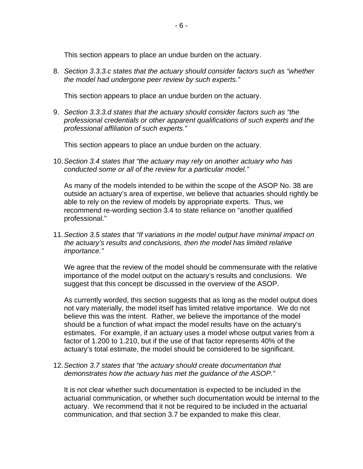This section appears to place an undue burden on the actuary.

8. *Section 3.3.3.c states that the actuary should consider factors such as "whether the model had undergone peer review by such experts."* 

This section appears to place an undue burden on the actuary.

9. *Section 3.3.3.d states that the actuary should consider factors such as "the professional credentials or other apparent qualifications of such experts and the professional affiliation of such experts."* 

This section appears to place an undue burden on the actuary.

10. *Section 3.4 states that "the actuary may rely on another actuary who has conducted some or all of the review for a particular model."* 

As many of the models intended to be within the scope of the ASOP No. 38 are outside an actuary's area of expertise, we believe that actuaries should rightly be able to rely on the review of models by appropriate experts. Thus, we recommend re-wording section 3.4 to state reliance on "another qualified professional."

11. *Section 3.5 states that "If variations in the model output have minimal impact on the actuary's results and conclusions, then the model has limited relative importance."* 

We agree that the review of the model should be commensurate with the relative importance of the model output on the actuary's results and conclusions. We suggest that this concept be discussed in the overview of the ASOP.

As currently worded, this section suggests that as long as the model output does not vary materially, the model itself has limited relative importance. We do not believe this was the intent. Rather, we believe the importance of the model should be a function of what impact the model results have on the actuary's estimates. For example, if an actuary uses a model whose output varies from a factor of 1.200 to 1.210, but if the use of that factor represents 40% of the actuary's total estimate, the model should be considered to be significant.

12. *Section 3.7 states that "the actuary should create documentation that demonstrates how the actuary has met the guidance of the ASOP."* 

It is not clear whether such documentation is expected to be included in the actuarial communication, or whether such documentation would be internal to the actuary. We recommend that it not be required to be included in the actuarial communication, and that section 3.7 be expanded to make this clear.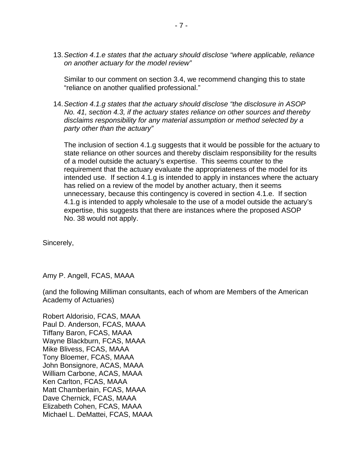13. *Section 4.1.e states that the actuary should disclose "where applicable, reliance on another actuary for the model review"* 

Similar to our comment on section 3.4, we recommend changing this to state "reliance on another qualified professional."

14. *Section 4.1.g states that the actuary should disclose "the disclosure in ASOP No. 41, section 4.3, if the actuary states reliance on other sources and thereby disclaims responsibility for any material assumption or method selected by a party other than the actuary"* 

The inclusion of section 4.1.g suggests that it would be possible for the actuary to state reliance on other sources and thereby disclaim responsibility for the results of a model outside the actuary's expertise. This seems counter to the requirement that the actuary evaluate the appropriateness of the model for its intended use. If section 4.1.g is intended to apply in instances where the actuary has relied on a review of the model by another actuary, then it seems unnecessary, because this contingency is covered in section 4.1.e. If section 4.1.g is intended to apply wholesale to the use of a model outside the actuary's expertise, this suggests that there are instances where the proposed ASOP No. 38 would not apply.

Sincerely,

Amy P. Angell, FCAS, MAAA

(and the following Milliman consultants, each of whom are Members of the American Academy of Actuaries)

Robert Aldorisio, FCAS, MAAA Paul D. Anderson, FCAS, MAAA Tiffany Baron, FCAS, MAAA Wayne Blackburn, FCAS, MAAA Mike Blivess, FCAS, MAAA Tony Bloemer, FCAS, MAAA John Bonsignore, ACAS, MAAA William Carbone, ACAS, MAAA Ken Carlton, FCAS, MAAA Matt Chamberlain, FCAS, MAAA Dave Chernick, FCAS, MAAA Elizabeth Cohen, FCAS, MAAA Michael L. DeMattei, FCAS, MAAA